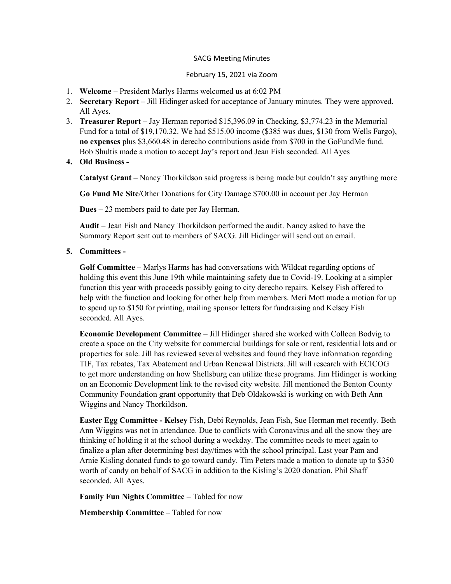## SACG Meeting Minutes

## February 15, 2021 via Zoom

- 1. Welcome President Marlys Harms welcomed us at 6:02 PM
- 2. Secretary Report Jill Hidinger asked for acceptance of January minutes. They were approved. All Ayes.
- 3. Treasurer Report Jay Herman reported \$15,396.09 in Checking, \$3,774.23 in the Memorial Fund for a total of \$19,170.32. We had \$515.00 income (\$385 was dues, \$130 from Wells Fargo), no expenses plus \$3,660.48 in derecho contributions aside from \$700 in the GoFundMe fund. Bob Shultis made a motion to accept Jay's report and Jean Fish seconded. All Ayes
- 4. Old Business -

Catalyst Grant – Nancy Thorkildson said progress is being made but couldn't say anything more

Go Fund Me Site/Other Donations for City Damage \$700.00 in account per Jay Herman

Dues – 23 members paid to date per Jay Herman.

Audit – Jean Fish and Nancy Thorkildson performed the audit. Nancy asked to have the Summary Report sent out to members of SACG. Jill Hidinger will send out an email.

5. Committees -

Golf Committee – Marlys Harms has had conversations with Wildcat regarding options of holding this event this June 19th while maintaining safety due to Covid-19. Looking at a simpler function this year with proceeds possibly going to city derecho repairs. Kelsey Fish offered to help with the function and looking for other help from members. Meri Mott made a motion for up to spend up to \$150 for printing, mailing sponsor letters for fundraising and Kelsey Fish seconded. All Ayes.

Economic Development Committee – Jill Hidinger shared she worked with Colleen Bodvig to create a space on the City website for commercial buildings for sale or rent, residential lots and or properties for sale. Jill has reviewed several websites and found they have information regarding TIF, Tax rebates, Tax Abatement and Urban Renewal Districts. Jill will research with ECICOG to get more understanding on how Shellsburg can utilize these programs. Jim Hidinger is working on an Economic Development link to the revised city website. Jill mentioned the Benton County Community Foundation grant opportunity that Deb Oldakowski is working on with Beth Ann Wiggins and Nancy Thorkildson.

Easter Egg Committee - Kelsey Fish, Debi Reynolds, Jean Fish, Sue Herman met recently. Beth Ann Wiggins was not in attendance. Due to conflicts with Coronavirus and all the snow they are thinking of holding it at the school during a weekday. The committee needs to meet again to finalize a plan after determining best day/times with the school principal. Last year Pam and Arnie Kisling donated funds to go toward candy. Tim Peters made a motion to donate up to \$350 worth of candy on behalf of SACG in addition to the Kisling's 2020 donation. Phil Shaff seconded. All Ayes.

Family Fun Nights Committee – Tabled for now

Membership Committee – Tabled for now